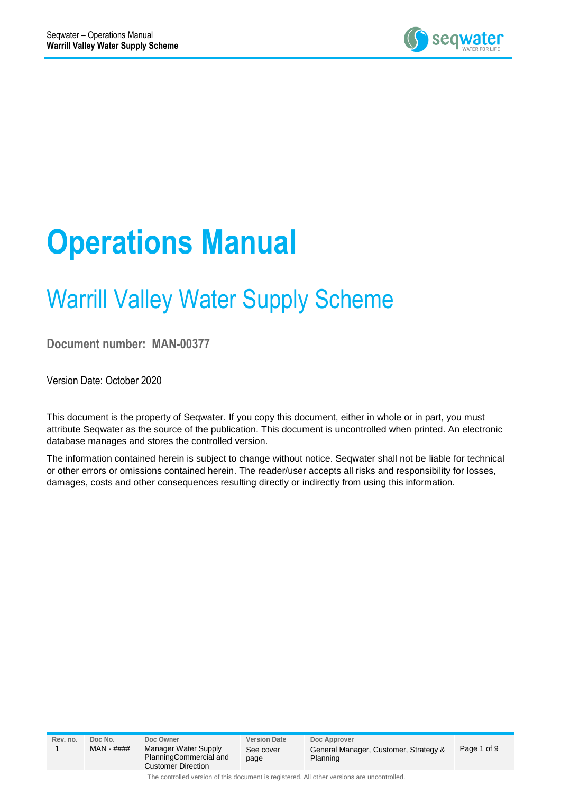

# **Operations Manual**

# Warrill Valley Water Supply Scheme

**Document number: MAN-00377**

Version Date: October 2020

This document is the property of Seqwater. If you copy this document, either in whole or in part, you must attribute Seqwater as the source of the publication. This document is uncontrolled when printed. An electronic database manages and stores the controlled version.

The information contained herein is subject to change without notice. Seqwater shall not be liable for technical or other errors or omissions contained herein. The reader/user accepts all risks and responsibility for losses, damages, costs and other consequences resulting directly or indirectly from using this information.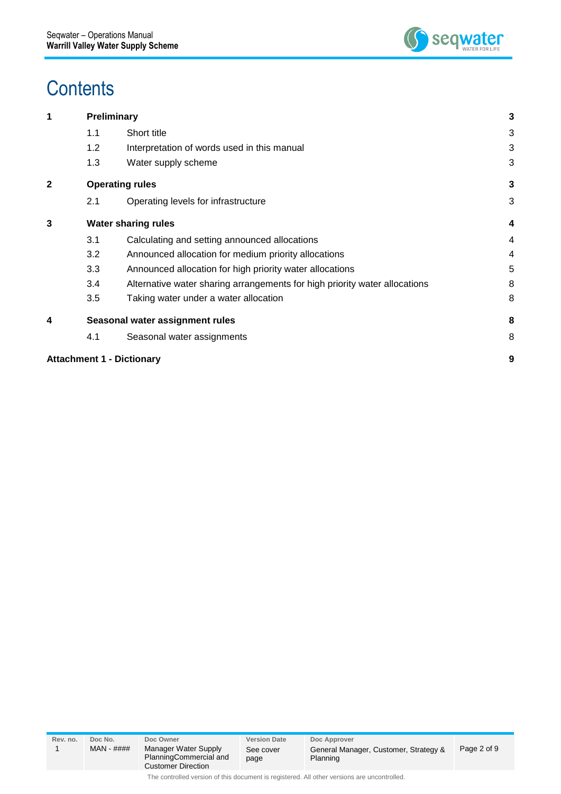

### **Contents**

|     |                                                                            | 3                                                                                                                                                 |
|-----|----------------------------------------------------------------------------|---------------------------------------------------------------------------------------------------------------------------------------------------|
| 1.1 | Short title                                                                | 3                                                                                                                                                 |
| 1.2 | Interpretation of words used in this manual                                | 3                                                                                                                                                 |
| 1.3 | Water supply scheme                                                        | 3                                                                                                                                                 |
|     |                                                                            | 3                                                                                                                                                 |
| 2.1 | Operating levels for infrastructure                                        | 3                                                                                                                                                 |
|     |                                                                            | 4                                                                                                                                                 |
| 3.1 | Calculating and setting announced allocations                              | 4                                                                                                                                                 |
| 3.2 | Announced allocation for medium priority allocations                       | 4                                                                                                                                                 |
| 3.3 | Announced allocation for high priority water allocations                   | 5                                                                                                                                                 |
| 3.4 | Alternative water sharing arrangements for high priority water allocations | 8                                                                                                                                                 |
| 3.5 | Taking water under a water allocation                                      | 8                                                                                                                                                 |
|     |                                                                            | 8                                                                                                                                                 |
| 4.1 | Seasonal water assignments                                                 | 8                                                                                                                                                 |
|     |                                                                            | 9                                                                                                                                                 |
|     |                                                                            | <b>Preliminary</b><br><b>Operating rules</b><br><b>Water sharing rules</b><br>Seasonal water assignment rules<br><b>Attachment 1 - Dictionary</b> |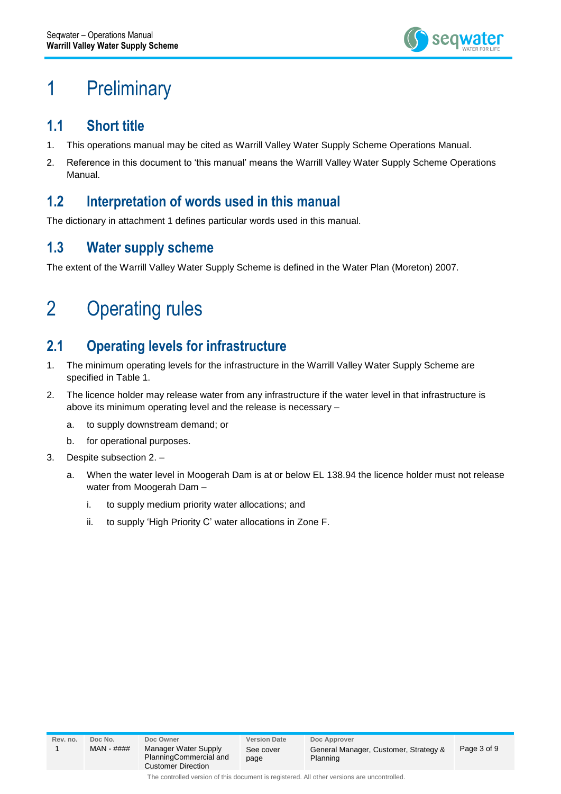

### <span id="page-2-0"></span>1 Preliminary

#### <span id="page-2-1"></span>**1.1 Short title**

- 1. This operations manual may be cited as Warrill Valley Water Supply Scheme Operations Manual.
- 2. Reference in this document to 'this manual' means the Warrill Valley Water Supply Scheme Operations Manual.

#### <span id="page-2-2"></span>**1.2 Interpretation of words used in this manual**

The dictionary in attachment 1 defines particular words used in this manual.

#### <span id="page-2-3"></span>**1.3 Water supply scheme**

The extent of the Warrill Valley Water Supply Scheme is defined in the Water Plan (Moreton) 2007.

### <span id="page-2-4"></span>2 Operating rules

### <span id="page-2-5"></span>**2.1 Operating levels for infrastructure**

- 1. The minimum operating levels for the infrastructure in the Warrill Valley Water Supply Scheme are specified in Table 1.
- 2. The licence holder may release water from any infrastructure if the water level in that infrastructure is above its minimum operating level and the release is necessary –
	- a. to supply downstream demand; or
	- b. for operational purposes.
- 3. Despite subsection 2.
	- a. When the water level in Moogerah Dam is at or below EL 138.94 the licence holder must not release water from Moogerah Dam –
		- i. to supply medium priority water allocations; and
		- ii. to supply 'High Priority C' water allocations in Zone F.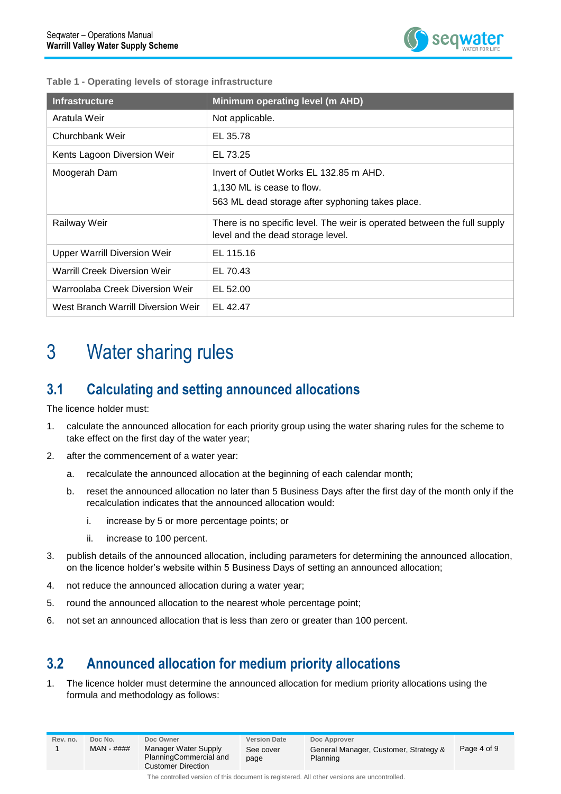

|  |  |  |  | Table 1 - Operating levels of storage infrastructure |
|--|--|--|--|------------------------------------------------------|
|--|--|--|--|------------------------------------------------------|

| <b>Infrastructure</b>               | Minimum operating level (m AHD)                                                                               |
|-------------------------------------|---------------------------------------------------------------------------------------------------------------|
| Aratula Weir                        | Not applicable.                                                                                               |
| Churchbank Weir                     | EL 35.78                                                                                                      |
| Kents Lagoon Diversion Weir         | EL 73.25                                                                                                      |
| Moogerah Dam                        | Invert of Outlet Works EL 132.85 m AHD.                                                                       |
|                                     | 1,130 ML is cease to flow.                                                                                    |
|                                     | 563 ML dead storage after syphoning takes place.                                                              |
| Railway Weir                        | There is no specific level. The weir is operated between the full supply<br>level and the dead storage level. |
| <b>Upper Warrill Diversion Weir</b> | EL 115.16                                                                                                     |
| <b>Warrill Creek Diversion Weir</b> | EL 70.43                                                                                                      |
| Warroolaba Creek Diversion Weir     | EL 52.00                                                                                                      |
| West Branch Warrill Diversion Weir  | EL 42.47                                                                                                      |

### <span id="page-3-0"></span>3 Water sharing rules

#### <span id="page-3-1"></span>**3.1 Calculating and setting announced allocations**

The licence holder must:

- 1. calculate the announced allocation for each priority group using the water sharing rules for the scheme to take effect on the first day of the water year;
- 2. after the commencement of a water year:
	- a. recalculate the announced allocation at the beginning of each calendar month;
	- b. reset the announced allocation no later than 5 Business Days after the first day of the month only if the recalculation indicates that the announced allocation would:
		- i. increase by 5 or more percentage points; or
		- ii. increase to 100 percent.
- 3. publish details of the announced allocation, including parameters for determining the announced allocation, on the licence holder's website within 5 Business Days of setting an announced allocation;
- 4. not reduce the announced allocation during a water year;
- 5. round the announced allocation to the nearest whole percentage point;
- 6. not set an announced allocation that is less than zero or greater than 100 percent.

### <span id="page-3-2"></span>**3.2 Announced allocation for medium priority allocations**

1. The licence holder must determine the announced allocation for medium priority allocations using the formula and methodology as follows:

| Rev. no.                                                                                    | Doc No.<br>$MAN - # # # #$ | Doc Owner<br>Manager Water Supply<br>PlanningCommercial and<br><b>Customer Direction</b> | <b>Version Date</b><br>See cover<br>page | Doc Approver<br>General Manager, Customer, Strategy &<br>Planning | Page 4 of 9 |
|---------------------------------------------------------------------------------------------|----------------------------|------------------------------------------------------------------------------------------|------------------------------------------|-------------------------------------------------------------------|-------------|
| The controlled version of this document is registered. All other versions are uncontrolled. |                            |                                                                                          |                                          |                                                                   |             |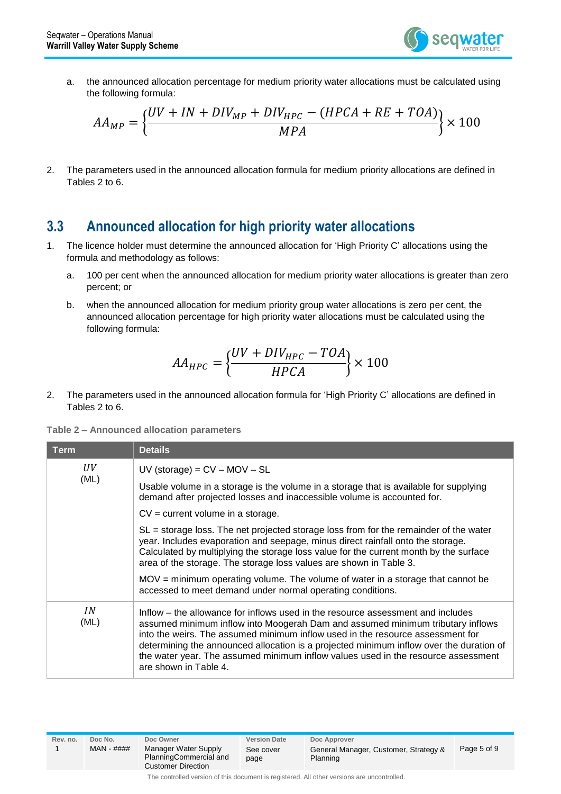

a. the announced allocation percentage for medium priority water allocations must be calculated using the following formula:

$$
AA_{MP} = \left\{ \frac{UV + IN + DIV_{MP} + DIV_{HPC} - (HPCA + RE + TOA)}{MPA} \right\} \times 100
$$

2. The parameters used in the announced allocation formula for medium priority allocations are defined in Tables 2 to 6.

#### <span id="page-4-0"></span>**3.3 Announced allocation for high priority water allocations**

- 1. The licence holder must determine the announced allocation for 'High Priority C' allocations using the formula and methodology as follows:
	- a. 100 per cent when the announced allocation for medium priority water allocations is greater than zero percent; or
	- b. when the announced allocation for medium priority group water allocations is zero per cent, the announced allocation percentage for high priority water allocations must be calculated using the following formula:

$$
AA_{HPC} = \left\{\frac{UV + DIV_{HPC} - TOA}{HPCA}\right\} \times 100
$$

2. The parameters used in the announced allocation formula for 'High Priority C' allocations are defined in Tables 2 to 6.

|  | Table 2 - Announced allocation parameters |  |  |
|--|-------------------------------------------|--|--|
|--|-------------------------------------------|--|--|

| <b>Term</b> | <b>Details</b>                                                                                                                                                                                                                                                                                                                                                                                                                                                                               |
|-------------|----------------------------------------------------------------------------------------------------------------------------------------------------------------------------------------------------------------------------------------------------------------------------------------------------------------------------------------------------------------------------------------------------------------------------------------------------------------------------------------------|
| UV          | $UV$ (storage) = $CV - MOV - SL$                                                                                                                                                                                                                                                                                                                                                                                                                                                             |
| (ML)        | Usable volume in a storage is the volume in a storage that is available for supplying<br>demand after projected losses and inaccessible volume is accounted for.                                                                                                                                                                                                                                                                                                                             |
|             | $CV = current volume$ in a storage.                                                                                                                                                                                                                                                                                                                                                                                                                                                          |
|             | $SL =$ storage loss. The net projected storage loss from for the remainder of the water<br>year. Includes evaporation and seepage, minus direct rainfall onto the storage.<br>Calculated by multiplying the storage loss value for the current month by the surface<br>area of the storage. The storage loss values are shown in Table 3.<br>$MOV =$ minimum operating volume. The volume of water in a storage that cannot be<br>accessed to meet demand under normal operating conditions. |
| IN<br>(ML)  | Inflow – the allowance for inflows used in the resource assessment and includes<br>assumed minimum inflow into Moogerah Dam and assumed minimum tributary inflows<br>into the weirs. The assumed minimum inflow used in the resource assessment for<br>determining the announced allocation is a projected minimum inflow over the duration of<br>the water year. The assumed minimum inflow values used in the resource assessment<br>are shown in Table 4.                                 |

| kev.no. |  |
|---------|--|
|         |  |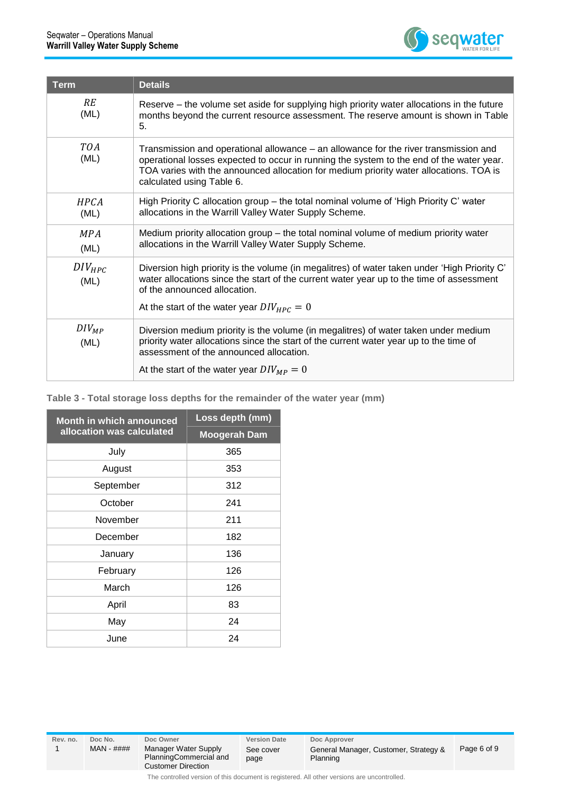

| <b>Term</b>         | <b>Details</b>                                                                                                                                                                                                                                                                                          |
|---------------------|---------------------------------------------------------------------------------------------------------------------------------------------------------------------------------------------------------------------------------------------------------------------------------------------------------|
| <b>RE</b><br>(ML)   | Reserve – the volume set aside for supplying high priority water allocations in the future<br>months beyond the current resource assessment. The reserve amount is shown in Table<br>5.                                                                                                                 |
| <b>TOA</b><br>(ML)  | Transmission and operational allowance – an allowance for the river transmission and<br>operational losses expected to occur in running the system to the end of the water year.<br>TOA varies with the announced allocation for medium priority water allocations. TOA is<br>calculated using Table 6. |
| HPCA<br>(ML)        | High Priority C allocation group – the total nominal volume of 'High Priority C' water<br>allocations in the Warrill Valley Water Supply Scheme.                                                                                                                                                        |
| <b>MPA</b><br>(ML)  | Medium priority allocation group – the total nominal volume of medium priority water<br>allocations in the Warrill Valley Water Supply Scheme.                                                                                                                                                          |
| $DIV_{HPC}$<br>(ML) | Diversion high priority is the volume (in megalitres) of water taken under 'High Priority C'<br>water allocations since the start of the current water year up to the time of assessment<br>of the announced allocation.<br>At the start of the water year $DIV_{HPC} = 0$                              |
| $DIV_{MP}$<br>(ML)  | Diversion medium priority is the volume (in megalitres) of water taken under medium<br>priority water allocations since the start of the current water year up to the time of<br>assessment of the announced allocation.                                                                                |
|                     | At the start of the water year $DIV_{MP} = 0$                                                                                                                                                                                                                                                           |

**Table 3 - Total storage loss depths for the remainder of the water year (mm)**

| <b>Month in which announced</b> | Loss depth (mm)     |  |  |
|---------------------------------|---------------------|--|--|
| allocation was calculated       | <b>Moogerah Dam</b> |  |  |
| July                            | 365                 |  |  |
| August                          | 353                 |  |  |
| September                       | 312                 |  |  |
| October                         | 241                 |  |  |
| November                        | 211                 |  |  |
| December                        | 182                 |  |  |
| January                         | 136                 |  |  |
| February                        | 126                 |  |  |
| March                           | 126                 |  |  |
| April                           | 83                  |  |  |
| May                             | 24                  |  |  |
| June                            | 24                  |  |  |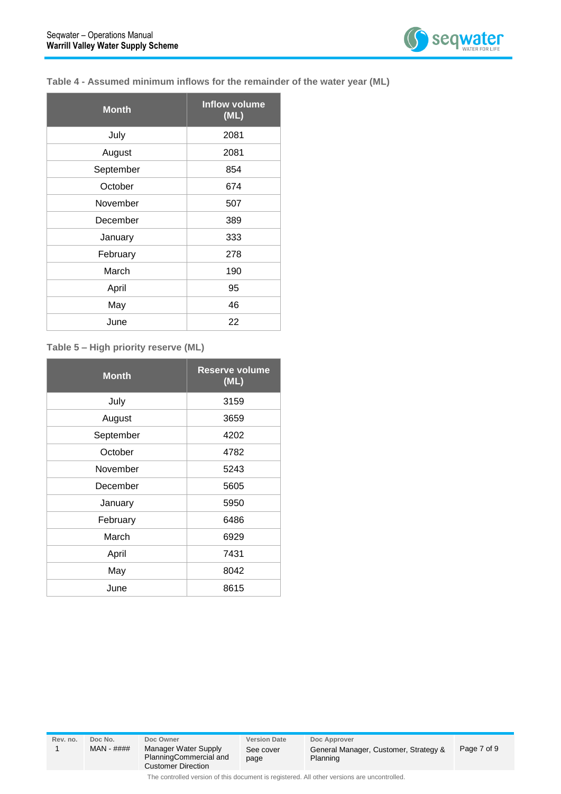

#### **Table 4 - Assumed minimum inflows for the remainder of the water year (ML)**

| <b>Month</b> | <b>Inflow volume</b><br>(ML) |
|--------------|------------------------------|
| July         | 2081                         |
| August       | 2081                         |
| September    | 854                          |
| October      | 674                          |
| November     | 507                          |
| December     | 389                          |
| January      | 333                          |
| February     | 278                          |
| March        | 190                          |
| April        | 95                           |
| May          | 46                           |
| June         | 22                           |

#### **Table 5 – High priority reserve (ML)**

| <b>Month</b> | <b>Reserve volume</b><br>(ML) |
|--------------|-------------------------------|
| July         | 3159                          |
| August       | 3659                          |
| September    | 4202                          |
| October      | 4782                          |
| November     | 5243                          |
| December     | 5605                          |
| January      | 5950                          |
| February     | 6486                          |
| March        | 6929                          |
| April        | 7431                          |
| May          | 8042                          |
| June         | 8615                          |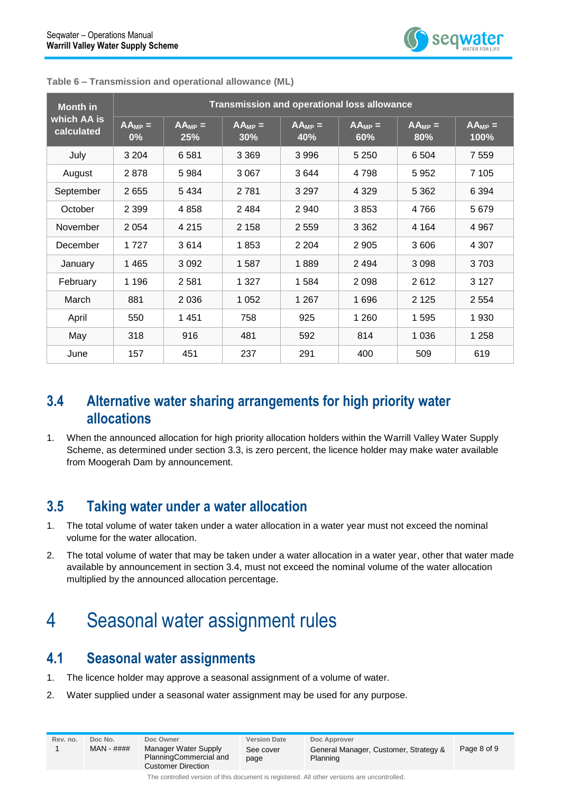| <b>Month in</b>           | <b>Transmission and operational loss allowance</b> |                    |                    |                    |                    |                                       |                     |
|---------------------------|----------------------------------------------------|--------------------|--------------------|--------------------|--------------------|---------------------------------------|---------------------|
| which AA is<br>calculated | $AA_{MP} =$<br>$0\%$                               | $AA_{MP} =$<br>25% | $AA_{MP} =$<br>30% | $AA_{MP} =$<br>40% | $AA_{MP} =$<br>60% | $\overline{A}$ <sub>MP</sub> =<br>80% | $AA_{MP} =$<br>100% |
| July                      | 3 2 0 4                                            | 6581               | 3 3 6 9            | 3 9 9 6            | 5 2 5 0            | 6 5 0 4                               | 7 5 5 9             |
| August                    | 2878                                               | 5984               | 3 0 6 7            | 3644               | 4798               | 5952                                  | 7 105               |
| September                 | 2655                                               | 5 4 3 4            | 2781               | 3 2 9 7            | 4 3 2 9            | 5 3 6 2                               | 6 3 9 4             |
| October                   | 2 3 9 9                                            | 4858               | 2484               | 2 940              | 3853               | 4766                                  | 5 6 7 9             |
| November                  | 2 0 5 4                                            | 4 2 1 5            | 2 1 5 8            | 2 5 5 9            | 3 3 6 2            | 4 1 6 4                               | 4 9 6 7             |
| December                  | 1 7 2 7                                            | 3614               | 1853               | 2 2 0 4            | 2 9 0 5            | 3606                                  | 4 3 0 7             |
| January                   | 1 4 6 5                                            | 3 0 9 2            | 1587               | 1889               | 2494               | 3 0 9 8                               | 3703                |
| February                  | 1 1 9 6                                            | 2 5 8 1            | 1 3 2 7            | 1 5 8 4            | 2098               | 2612                                  | 3 1 2 7             |
| March                     | 881                                                | 2 0 3 6            | 1 0 5 2            | 1 2 6 7            | 1696               | 2 1 2 5                               | 2 5 5 4             |
| April                     | 550                                                | 1 4 5 1            | 758                | 925                | 1 2 6 0            | 1595                                  | 1930                |
| May                       | 318                                                | 916                | 481                | 592                | 814                | 1 0 3 6                               | 1 2 5 8             |
| June                      | 157                                                | 451                | 237                | 291                | 400                | 509                                   | 619                 |

**Table 6 – Transmission and operational allowance (ML)**

#### <span id="page-7-0"></span>**3.4 Alternative water sharing arrangements for high priority water allocations**

1. When the announced allocation for high priority allocation holders within the Warrill Valley Water Supply Scheme, as determined under section 3.3, is zero percent, the licence holder may make water available from Moogerah Dam by announcement.

#### <span id="page-7-1"></span>**3.5 Taking water under a water allocation**

- 1. The total volume of water taken under a water allocation in a water year must not exceed the nominal volume for the water allocation.
- 2. The total volume of water that may be taken under a water allocation in a water year, other that water made available by announcement in section 3.4, must not exceed the nominal volume of the water allocation multiplied by the announced allocation percentage.

### <span id="page-7-2"></span>4 Seasonal water assignment rules

#### <span id="page-7-3"></span>**4.1 Seasonal water assignments**

- 1. The licence holder may approve a seasonal assignment of a volume of water.
- 2. Water supplied under a seasonal water assignment may be used for any purpose.

| Rev. no.                                                                                    | Doc No.<br>$MAN - # # ##$ | Doc Owner<br>Manager Water Supply<br>PlanningCommercial and<br><b>Customer Direction</b> | <b>Version Date</b><br>See cover<br>page | Doc Approver<br>General Manager, Customer, Strategy &<br>Planning | Page 8 of 9 |
|---------------------------------------------------------------------------------------------|---------------------------|------------------------------------------------------------------------------------------|------------------------------------------|-------------------------------------------------------------------|-------------|
| The controlled version of this document is registered. All other versions are uncontrolled. |                           |                                                                                          |                                          |                                                                   |             |